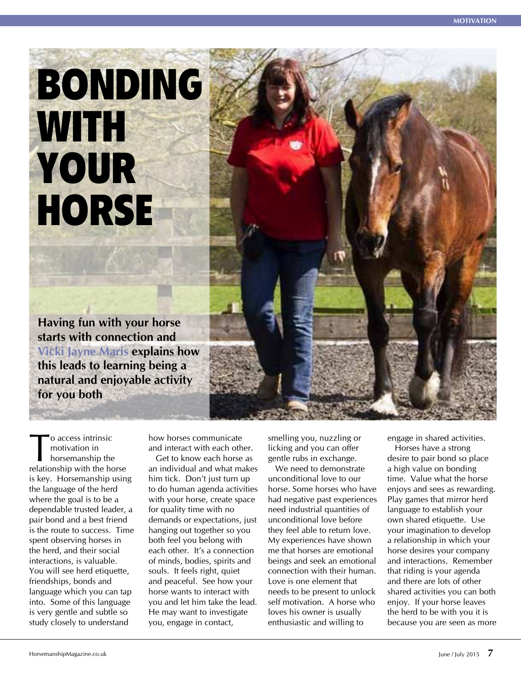## BONDING WITH. YOUR **HORSE**

**Having fun with your horse starts with connection and Vicki Jayne Maris explains how this leads to learning being a natural and enjoyable activity for you both**

To access intrinsic<br>motivation in<br>horsemanship the<br>relationship with the ho motivation in horsemanship the relationship with the horse is key. Horsemanship using the language of the herd where the goal is to be a dependable trusted leader, a pair bond and a best friend is the route to success. Time spent observing horses in the herd, and their social interactions, is valuable. You will see herd etiquette, friendships, bonds and language which you can tap into. Some of this language is very gentle and subtle so study closely to understand

how horses communicate and interact with each other. Get to know each horse as

an individual and what makes him tick. Don't just turn up to do human agenda activities with your horse, create space for quality time with no demands or expectations, just hanging out together so you both feel you belong with each other. It's a connection of minds, bodies, spirits and souls. It feels right, quiet and peaceful. See how your horse wants to interact with you and let him take the lead. He may want to investigate you, engage in contact,

smelling you, nuzzling or licking and you can offer gentle rubs in exchange.

We need to demonstrate unconditional love to our horse. Some horses who have had negative past experiences need industrial quantities of unconditional love before they feel able to return love. My experiences have shown me that horses are emotional beings and seek an emotional connection with their human. Love is one element that needs to be present to unlock self motivation. A horse who loves his owner is usually enthusiastic and willing to

engage in shared activities.

Horses have a strong desire to pair bond so place a high value on bonding time. Value what the horse enjoys and sees as rewarding. Play games that mirror herd language to establish your own shared etiquette. Use your imagination to develop a relationship in which your horse desires your company and interactions. Remember that riding is your agenda and there are lots of other shared activities you can both enjoy. If your horse leaves the herd to be with you it is because you are seen as more